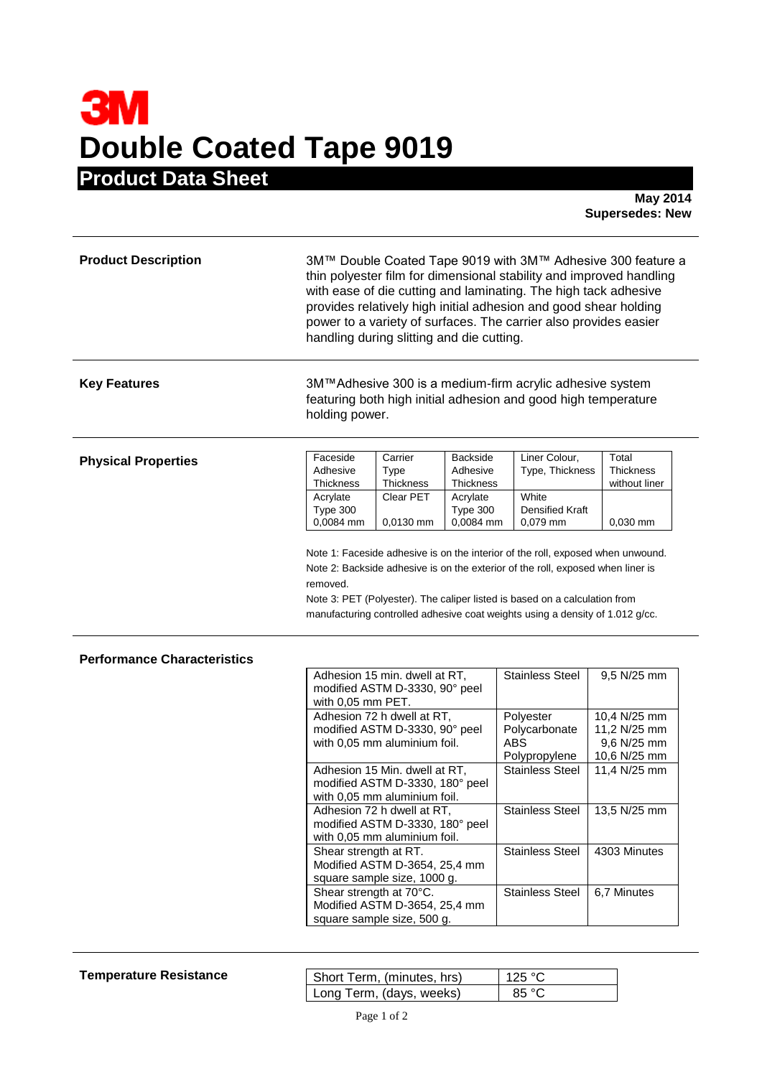## **3M Double Coated Tape 9019 Product Data Sheet**

**May 2014 Supersedes: New** 

| <b>Product Description</b>         | 3M™ Double Coated Tape 9019 with 3M™ Adhesive 300 feature a<br>thin polyester film for dimensional stability and improved handling<br>with ease of die cutting and laminating. The high tack adhesive<br>provides relatively high initial adhesion and good shear holding<br>power to a variety of surfaces. The carrier also provides easier<br>handling during slitting and die cutting. |                                                                                                                                                                                                                                                                                                                                                                                                                                                                                                                                |                                                                               |                                                                                                                                                                                                                                                |                                                                                                                                           |
|------------------------------------|--------------------------------------------------------------------------------------------------------------------------------------------------------------------------------------------------------------------------------------------------------------------------------------------------------------------------------------------------------------------------------------------|--------------------------------------------------------------------------------------------------------------------------------------------------------------------------------------------------------------------------------------------------------------------------------------------------------------------------------------------------------------------------------------------------------------------------------------------------------------------------------------------------------------------------------|-------------------------------------------------------------------------------|------------------------------------------------------------------------------------------------------------------------------------------------------------------------------------------------------------------------------------------------|-------------------------------------------------------------------------------------------------------------------------------------------|
| <b>Key Features</b>                | holding power.                                                                                                                                                                                                                                                                                                                                                                             |                                                                                                                                                                                                                                                                                                                                                                                                                                                                                                                                |                                                                               | 3M™Adhesive 300 is a medium-firm acrylic adhesive system<br>featuring both high initial adhesion and good high temperature                                                                                                                     |                                                                                                                                           |
| <b>Physical Properties</b>         | Faceside<br>Adhesive<br>Thickness<br>Acrylate<br>Type 300<br>0,0084 mm                                                                                                                                                                                                                                                                                                                     | Carrier<br>Type<br>Thickness<br>Clear PET<br>0,0130 mm                                                                                                                                                                                                                                                                                                                                                                                                                                                                         | <b>Backside</b><br>Adhesive<br>Thickness<br>Acrylate<br>Type 300<br>0,0084 mm | Liner Colour,<br>Type, Thickness<br>White<br>Densified Kraft<br>0,079 mm<br>Note 1: Faceside adhesive is on the interior of the roll, exposed when unwound.                                                                                    | Total<br><b>Thickness</b><br>without liner<br>$0,030$ mm                                                                                  |
|                                    | removed.                                                                                                                                                                                                                                                                                                                                                                                   |                                                                                                                                                                                                                                                                                                                                                                                                                                                                                                                                |                                                                               | Note 2: Backside adhesive is on the exterior of the roll, exposed when liner is<br>Note 3: PET (Polyester). The caliper listed is based on a calculation from<br>manufacturing controlled adhesive coat weights using a density of 1.012 g/cc. |                                                                                                                                           |
| <b>Performance Characteristics</b> | with 0,05 mm PET.<br>Shear strength at RT.                                                                                                                                                                                                                                                                                                                                                 | Adhesion 15 min. dwell at RT,<br>modified ASTM D-3330, 90° peel<br>Adhesion 72 h dwell at RT,<br>modified ASTM D-3330, 90° peel<br>with 0,05 mm aluminium foil.<br>Adhesion 15 Min. dwell at RT,<br>modified ASTM D-3330, 180° peel<br>with 0,05 mm aluminium foil.<br>Adhesion 72 h dwell at RT,<br>modified ASTM D-3330, 180° peel<br>with 0,05 mm aluminium foil.<br>Modified ASTM D-3654, 25,4 mm<br>square sample size, 1000 g.<br>Shear strength at 70°C.<br>Modified ASTM D-3654, 25,4 mm<br>square sample size, 500 g. |                                                                               | <b>Stainless Steel</b><br>Polyester<br>Polycarbonate<br><b>ABS</b><br>Polypropylene<br>Stainless Steel<br><b>Stainless Steel</b><br><b>Stainless Steel</b><br><b>Stainless Steel</b>                                                           | 9,5 N/25 mm<br>10,4 N/25 mm<br>11,2 N/25 mm<br>9,6 N/25 mm<br>10,6 N/25 mm<br>11,4 N/25 mm<br>13,5 N/25 mm<br>4303 Minutes<br>6,7 Minutes |

## **Temperature Resistance**

| Short Term, (minutes, hrs) | 125 °C         |
|----------------------------|----------------|
| Long Term, (days, weeks)   | $85^{\circ}$ C |